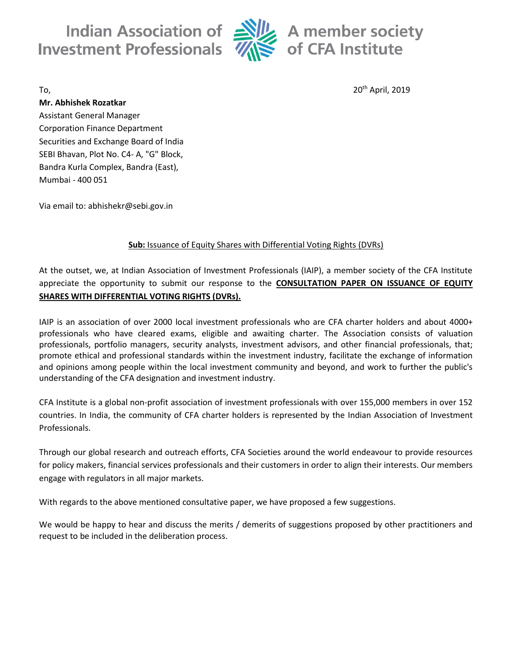Indian Association of **Investment Professionals** 



 $\frac{1}{2}$  A member society  $\le$  of CFA Institute

To, the contract of the contract of  $20^{\text{th}}$  April, 2019  $20^{\text{th}}$  April, 2019

**Mr. Abhishek Rozatkar** Assistant General Manager Corporation Finance Department Securities and Exchange Board of India SEBI Bhavan, Plot No. C4- A, "G" Block, Bandra Kurla Complex, Bandra (East), Mumbai - 400 051

Via email to: abhishekr@sebi.gov.in

# **Sub:** Issuance of Equity Shares with Differential Voting Rights (DVRs)

At the outset, we, at Indian Association of Investment Professionals (IAIP), a member society of the CFA Institute appreciate the opportunity to submit our response to the **CONSULTATION PAPER ON ISSUANCE OF EQUITY SHARES WITH DIFFERENTIAL VOTING RIGHTS (DVRs).**

IAIP is an association of over 2000 local investment professionals who are CFA charter holders and about 4000+ professionals who have cleared exams, eligible and awaiting charter. The Association consists of valuation professionals, portfolio managers, security analysts, investment advisors, and other financial professionals, that; promote ethical and professional standards within the investment industry, facilitate the exchange of information and opinions among people within the local investment community and beyond, and work to further the public's understanding of the CFA designation and investment industry.

CFA Institute is a global non-profit association of investment professionals with over 155,000 members in over 152 countries. In India, the community of CFA charter holders is represented by the Indian Association of Investment Professionals.

Through our global research and outreach efforts, CFA Societies around the world endeavour to provide resources for policy makers, financial services professionals and their customers in order to align their interests. Our members engage with regulators in all major markets.

With regards to the above mentioned consultative paper, we have proposed a few suggestions.

We would be happy to hear and discuss the merits / demerits of suggestions proposed by other practitioners and request to be included in the deliberation process.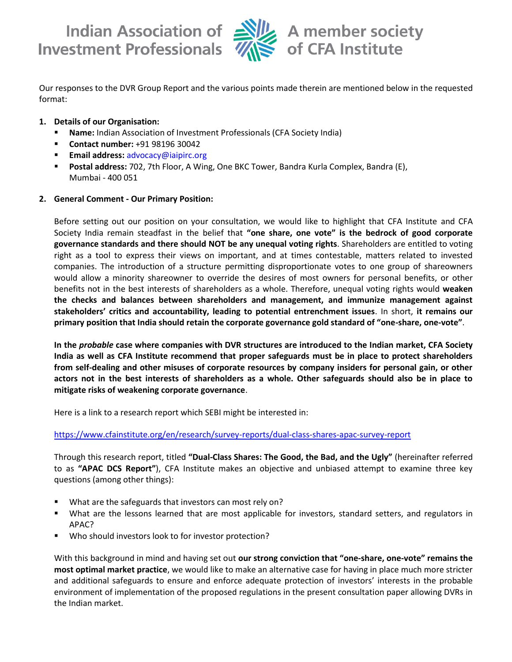Indian Association of Allen Amember society **Investment Professionals W** 



 $\le$  of CFA Institute

Our responses to the DVR Group Report and the various points made therein are mentioned below in the requested format:

- **1. Details of our Organisation:**
	- Name: Indian Association of Investment Professionals (CFA Society India)
	- **Contact number:** +91 98196 30042
	- **Email address:** [advocacy@iaipirc.org](mailto:advocacy@iaipirc.org)
	- Postal address: 702, 7th Floor, A Wing, One BKC Tower, Bandra Kurla Complex, Bandra (E), Mumbai - 400 051

## **2. General Comment - Our Primary Position:**

Before setting out our position on your consultation, we would like to highlight that CFA Institute and CFA Society India remain steadfast in the belief that **"one share, one vote" is the bedrock of good corporate governance standards and there should NOT be any unequal voting rights**. Shareholders are entitled to voting right as a tool to express their views on important, and at times contestable, matters related to invested companies. The introduction of a structure permitting disproportionate votes to one group of shareowners would allow a minority shareowner to override the desires of most owners for personal benefits, or other benefits not in the best interests of shareholders as a whole. Therefore, unequal voting rights would **weaken the checks and balances between shareholders and management, and immunize management against stakeholders' critics and accountability, leading to potential entrenchment issues**. In short, **it remains our primary position that India should retain the corporate governance gold standard of "one-share, one-vote"**.

**In the** *probable* **case where companies with DVR structures are introduced to the Indian market, CFA Society India as well as CFA Institute recommend that proper safeguards must be in place to protect shareholders from self-dealing and other misuses of corporate resources by company insiders for personal gain, or other actors not in the best interests of shareholders as a whole. Other safeguards should also be in place to mitigate risks of weakening corporate governance**.

Here is a link to a research report which SEBI might be interested in:

## <https://www.cfainstitute.org/en/research/survey-reports/dual-class-shares-apac-survey-report>

Through this research report, titled **"Dual-Class Shares: The Good, the Bad, and the Ugly"** (hereinafter referred to as **"APAC DCS Report"**), CFA Institute makes an objective and unbiased attempt to examine three key questions (among other things):

- What are the safeguards that investors can most rely on?
- What are the lessons learned that are most applicable for investors, standard setters, and regulators in APAC?
- Who should investors look to for investor protection?

With this background in mind and having set out **our strong conviction that "one-share, one-vote" remains the most optimal market practice**, we would like to make an alternative case for having in place much more stricter and additional safeguards to ensure and enforce adequate protection of investors' interests in the probable environment of implementation of the proposed regulations in the present consultation paper allowing DVRs in the Indian market.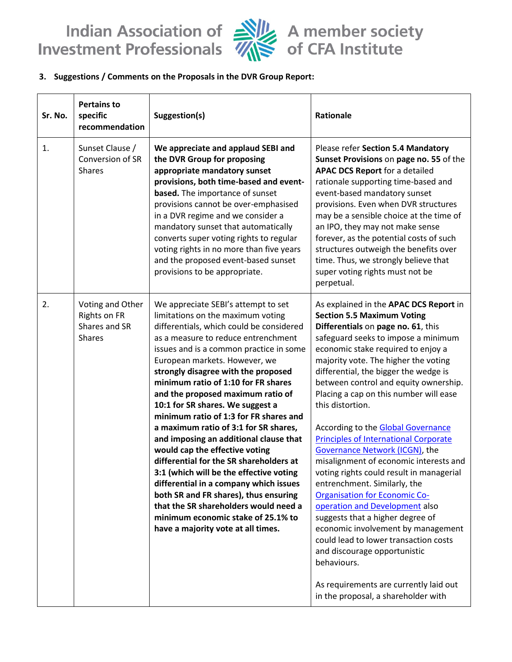Indian Association of Alle A member society<br>Investment Professionals Alle of CFA Institute



## **3. Suggestions / Comments on the Proposals in the DVR Group Report:**

| Sr. No. | <b>Pertains to</b><br>specific<br>recommendation                   | Suggestion(s)                                                                                                                                                                                                                                                                                                                                                                                                                                                                                                                                                                                                                                                                                                                                                                                                                                               | <b>Rationale</b>                                                                                                                                                                                                                                                                                                                                                                                                                                                                                                                                                                                                                                                                                                                                                                                                                                                                                                                                                  |
|---------|--------------------------------------------------------------------|-------------------------------------------------------------------------------------------------------------------------------------------------------------------------------------------------------------------------------------------------------------------------------------------------------------------------------------------------------------------------------------------------------------------------------------------------------------------------------------------------------------------------------------------------------------------------------------------------------------------------------------------------------------------------------------------------------------------------------------------------------------------------------------------------------------------------------------------------------------|-------------------------------------------------------------------------------------------------------------------------------------------------------------------------------------------------------------------------------------------------------------------------------------------------------------------------------------------------------------------------------------------------------------------------------------------------------------------------------------------------------------------------------------------------------------------------------------------------------------------------------------------------------------------------------------------------------------------------------------------------------------------------------------------------------------------------------------------------------------------------------------------------------------------------------------------------------------------|
| 1.      | Sunset Clause /<br>Conversion of SR<br><b>Shares</b>               | We appreciate and applaud SEBI and<br>the DVR Group for proposing<br>appropriate mandatory sunset<br>provisions, both time-based and event-<br>based. The importance of sunset<br>provisions cannot be over-emphasised<br>in a DVR regime and we consider a<br>mandatory sunset that automatically<br>converts super voting rights to regular<br>voting rights in no more than five years<br>and the proposed event-based sunset<br>provisions to be appropriate.                                                                                                                                                                                                                                                                                                                                                                                           | Please refer Section 5.4 Mandatory<br>Sunset Provisions on page no. 55 of the<br><b>APAC DCS Report for a detailed</b><br>rationale supporting time-based and<br>event-based mandatory sunset<br>provisions. Even when DVR structures<br>may be a sensible choice at the time of<br>an IPO, they may not make sense<br>forever, as the potential costs of such<br>structures outweigh the benefits over<br>time. Thus, we strongly believe that<br>super voting rights must not be<br>perpetual.                                                                                                                                                                                                                                                                                                                                                                                                                                                                  |
| 2.      | Voting and Other<br>Rights on FR<br>Shares and SR<br><b>Shares</b> | We appreciate SEBI's attempt to set<br>limitations on the maximum voting<br>differentials, which could be considered<br>as a measure to reduce entrenchment<br>issues and is a common practice in some<br>European markets. However, we<br>strongly disagree with the proposed<br>minimum ratio of 1:10 for FR shares<br>and the proposed maximum ratio of<br>10:1 for SR shares. We suggest a<br>minimum ratio of 1:3 for FR shares and<br>a maximum ratio of 3:1 for SR shares,<br>and imposing an additional clause that<br>would cap the effective voting<br>differential for the SR shareholders at<br>3:1 (which will be the effective voting<br>differential in a company which issues<br>both SR and FR shares), thus ensuring<br>that the SR shareholders would need a<br>minimum economic stake of 25.1% to<br>have a majority vote at all times. | As explained in the APAC DCS Report in<br><b>Section 5.5 Maximum Voting</b><br>Differentials on page no. 61, this<br>safeguard seeks to impose a minimum<br>economic stake required to enjoy a<br>majority vote. The higher the voting<br>differential, the bigger the wedge is<br>between control and equity ownership.<br>Placing a cap on this number will ease<br>this distortion.<br>According to the Global Governance<br><b>Principles of International Corporate</b><br>Governance Network (ICGN), the<br>misalignment of economic interests and<br>voting rights could result in managerial<br>entrenchment. Similarly, the<br><b>Organisation for Economic Co-</b><br>operation and Development also<br>suggests that a higher degree of<br>economic involvement by management<br>could lead to lower transaction costs<br>and discourage opportunistic<br>behaviours.<br>As requirements are currently laid out<br>in the proposal, a shareholder with |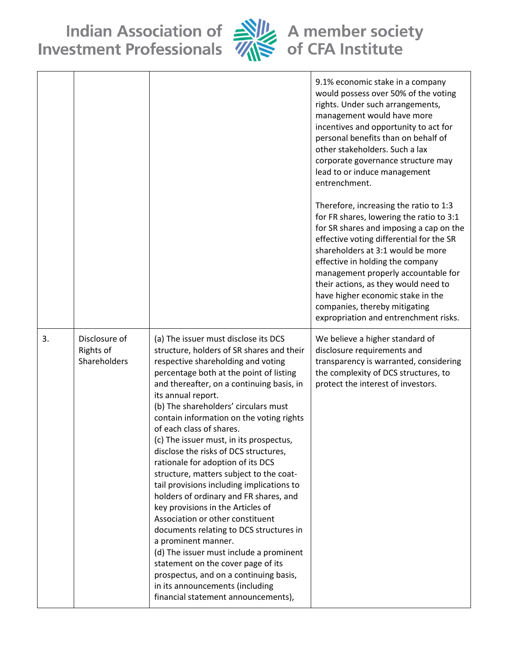Indian Association of Alle A member society<br>Investment Professionals Alle of CFA Institute



|    |                                            |                                                                                                                                                                                                                                                                                                                                                                                                                                                                                                                                                                                                                                                                                                                                                                                                                                                                                                                                                                  | 9.1% economic stake in a company<br>would possess over 50% of the voting<br>rights. Under such arrangements,<br>management would have more<br>incentives and opportunity to act for<br>personal benefits than on behalf of<br>other stakeholders. Such a lax<br>corporate governance structure may<br>lead to or induce management<br>entrenchment.                                                                                              |
|----|--------------------------------------------|------------------------------------------------------------------------------------------------------------------------------------------------------------------------------------------------------------------------------------------------------------------------------------------------------------------------------------------------------------------------------------------------------------------------------------------------------------------------------------------------------------------------------------------------------------------------------------------------------------------------------------------------------------------------------------------------------------------------------------------------------------------------------------------------------------------------------------------------------------------------------------------------------------------------------------------------------------------|--------------------------------------------------------------------------------------------------------------------------------------------------------------------------------------------------------------------------------------------------------------------------------------------------------------------------------------------------------------------------------------------------------------------------------------------------|
|    |                                            |                                                                                                                                                                                                                                                                                                                                                                                                                                                                                                                                                                                                                                                                                                                                                                                                                                                                                                                                                                  | Therefore, increasing the ratio to 1:3<br>for FR shares, lowering the ratio to 3:1<br>for SR shares and imposing a cap on the<br>effective voting differential for the SR<br>shareholders at 3:1 would be more<br>effective in holding the company<br>management properly accountable for<br>their actions, as they would need to<br>have higher economic stake in the<br>companies, thereby mitigating<br>expropriation and entrenchment risks. |
| 3. | Disclosure of<br>Rights of<br>Shareholders | (a) The issuer must disclose its DCS<br>structure, holders of SR shares and their<br>respective shareholding and voting<br>percentage both at the point of listing<br>and thereafter, on a continuing basis, in<br>its annual report.<br>(b) The shareholders' circulars must<br>contain information on the voting rights<br>of each class of shares.<br>(c) The issuer must, in its prospectus,<br>disclose the risks of DCS structures,<br>rationale for adoption of its DCS<br>structure, matters subject to the coat-<br>tail provisions including implications to<br>holders of ordinary and FR shares, and<br>key provisions in the Articles of<br>Association or other constituent<br>documents relating to DCS structures in<br>a prominent manner.<br>(d) The issuer must include a prominent<br>statement on the cover page of its<br>prospectus, and on a continuing basis,<br>in its announcements (including<br>financial statement announcements), | We believe a higher standard of<br>disclosure requirements and<br>transparency is warranted, considering<br>the complexity of DCS structures, to<br>protect the interest of investors.                                                                                                                                                                                                                                                           |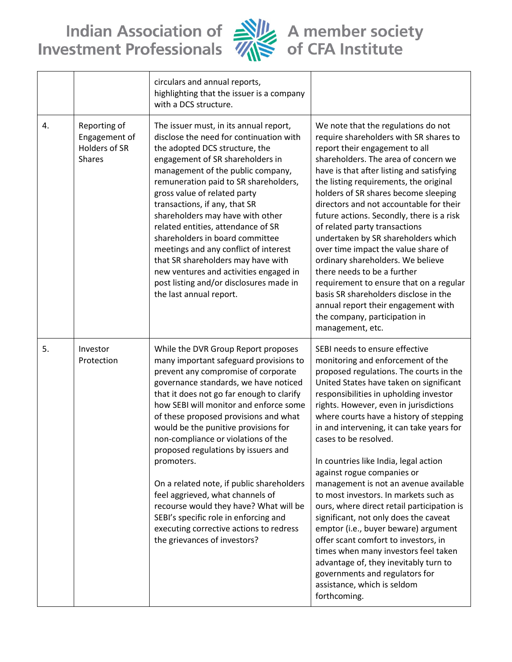Indian Association of Alle A member society<br>Investment Professionals Alle of CFA Institute



|    |                                                                 | circulars and annual reports,<br>highlighting that the issuer is a company<br>with a DCS structure.                                                                                                                                                                                                                                                                                                                                                                                                                                                                                                                                                                              |                                                                                                                                                                                                                                                                                                                                                                                                                                                                                                                                                                                                                                                                                                                                                                                                                                                                  |
|----|-----------------------------------------------------------------|----------------------------------------------------------------------------------------------------------------------------------------------------------------------------------------------------------------------------------------------------------------------------------------------------------------------------------------------------------------------------------------------------------------------------------------------------------------------------------------------------------------------------------------------------------------------------------------------------------------------------------------------------------------------------------|------------------------------------------------------------------------------------------------------------------------------------------------------------------------------------------------------------------------------------------------------------------------------------------------------------------------------------------------------------------------------------------------------------------------------------------------------------------------------------------------------------------------------------------------------------------------------------------------------------------------------------------------------------------------------------------------------------------------------------------------------------------------------------------------------------------------------------------------------------------|
| 4. | Reporting of<br>Engagement of<br>Holders of SR<br><b>Shares</b> | The issuer must, in its annual report,<br>disclose the need for continuation with<br>the adopted DCS structure, the<br>engagement of SR shareholders in<br>management of the public company,<br>remuneration paid to SR shareholders,<br>gross value of related party<br>transactions, if any, that SR<br>shareholders may have with other<br>related entities, attendance of SR<br>shareholders in board committee<br>meetings and any conflict of interest<br>that SR shareholders may have with<br>new ventures and activities engaged in<br>post listing and/or disclosures made in<br>the last annual report.                                                               | We note that the regulations do not<br>require shareholders with SR shares to<br>report their engagement to all<br>shareholders. The area of concern we<br>have is that after listing and satisfying<br>the listing requirements, the original<br>holders of SR shares become sleeping<br>directors and not accountable for their<br>future actions. Secondly, there is a risk<br>of related party transactions<br>undertaken by SR shareholders which<br>over time impact the value share of<br>ordinary shareholders. We believe<br>there needs to be a further<br>requirement to ensure that on a regular<br>basis SR shareholders disclose in the<br>annual report their engagement with<br>the company, participation in<br>management, etc.                                                                                                                |
| 5. | Investor<br>Protection                                          | While the DVR Group Report proposes<br>many important safeguard provisions to<br>prevent any compromise of corporate<br>governance standards, we have noticed<br>that it does not go far enough to clarify<br>how SEBI will monitor and enforce some<br>of these proposed provisions and what<br>would be the punitive provisions for<br>non-compliance or violations of the<br>proposed regulations by issuers and<br>promoters.<br>On a related note, if public shareholders<br>feel aggrieved, what channels of<br>recourse would they have? What will be<br>SEBI's specific role in enforcing and<br>executing corrective actions to redress<br>the grievances of investors? | SEBI needs to ensure effective<br>monitoring and enforcement of the<br>proposed regulations. The courts in the<br>United States have taken on significant<br>responsibilities in upholding investor<br>rights. However, even in jurisdictions<br>where courts have a history of stepping<br>in and intervening, it can take years for<br>cases to be resolved.<br>In countries like India, legal action<br>against rogue companies or<br>management is not an avenue available<br>to most investors. In markets such as<br>ours, where direct retail participation is<br>significant, not only does the caveat<br>emptor (i.e., buyer beware) argument<br>offer scant comfort to investors, in<br>times when many investors feel taken<br>advantage of, they inevitably turn to<br>governments and regulators for<br>assistance, which is seldom<br>forthcoming. |